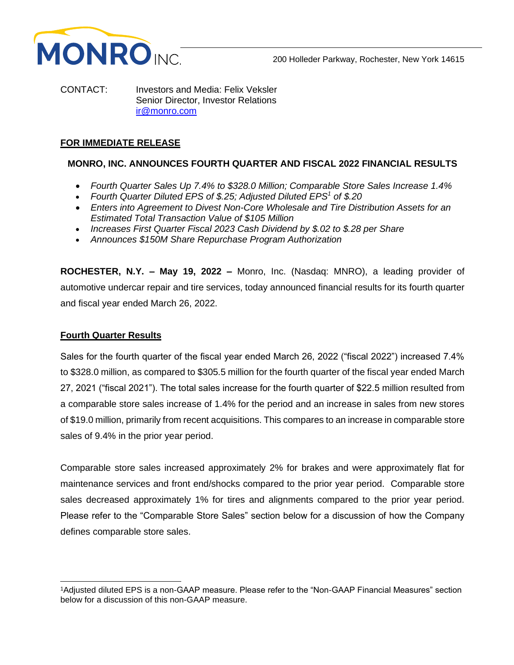

CONTACT: Investors and Media: Felix Veksler Senior Director, Investor Relations [ir@monro.com](mailto:ir@monro.com)

# **FOR IMMEDIATE RELEASE**

# **MONRO, INC. ANNOUNCES FOURTH QUARTER AND FISCAL 2022 FINANCIAL RESULTS**

- *Fourth Quarter Sales Up 7.4% to \$328.0 Million; Comparable Store Sales Increase 1.4%*
- *Fourth Quarter Diluted EPS of \$.25; Adjusted Diluted EPS<sup>1</sup> of \$.20*
- *Enters into Agreement to Divest Non-Core Wholesale and Tire Distribution Assets for an Estimated Total Transaction Value of \$105 Million*
- *Increases First Quarter Fiscal 2023 Cash Dividend by \$.02 to \$.28 per Share*
- *Announces \$150M Share Repurchase Program Authorization*

**ROCHESTER, N.Y. – May 19, 2022 –** Monro, Inc. (Nasdaq: MNRO), a leading provider of automotive undercar repair and tire services, today announced financial results for its fourth quarter and fiscal year ended March 26, 2022.

## **Fourth Quarter Results**

Sales for the fourth quarter of the fiscal year ended March 26, 2022 ("fiscal 2022") increased 7.4% to \$328.0 million, as compared to \$305.5 million for the fourth quarter of the fiscal year ended March 27, 2021 ("fiscal 2021"). The total sales increase for the fourth quarter of \$22.5 million resulted from a comparable store sales increase of 1.4% for the period and an increase in sales from new stores of \$19.0 million, primarily from recent acquisitions. This compares to an increase in comparable store sales of 9.4% in the prior year period.

Comparable store sales increased approximately 2% for brakes and were approximately flat for maintenance services and front end/shocks compared to the prior year period. Comparable store sales decreased approximately 1% for tires and alignments compared to the prior year period. Please refer to the "Comparable Store Sales" section below for a discussion of how the Company defines comparable store sales.

<sup>1</sup>Adjusted diluted EPS is a non-GAAP measure. Please refer to the "Non-GAAP Financial Measures" section below for a discussion of this non-GAAP measure.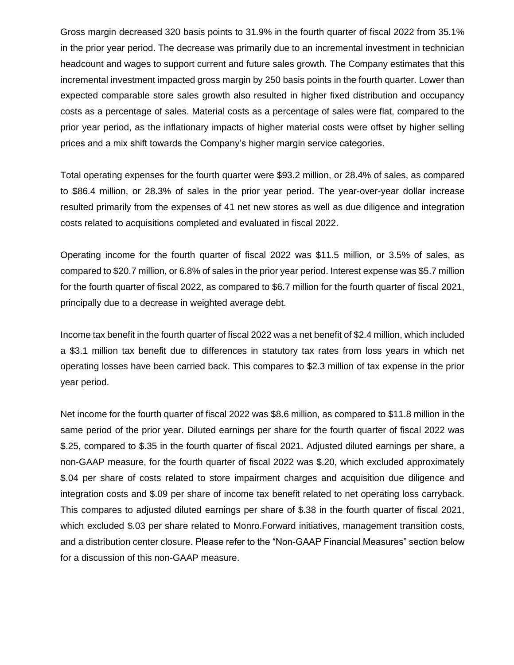Gross margin decreased 320 basis points to 31.9% in the fourth quarter of fiscal 2022 from 35.1% in the prior year period. The decrease was primarily due to an incremental investment in technician headcount and wages to support current and future sales growth. The Company estimates that this incremental investment impacted gross margin by 250 basis points in the fourth quarter. Lower than expected comparable store sales growth also resulted in higher fixed distribution and occupancy costs as a percentage of sales. Material costs as a percentage of sales were flat, compared to the prior year period, as the inflationary impacts of higher material costs were offset by higher selling prices and a mix shift towards the Company's higher margin service categories.

Total operating expenses for the fourth quarter were \$93.2 million, or 28.4% of sales, as compared to \$86.4 million, or 28.3% of sales in the prior year period. The year-over-year dollar increase resulted primarily from the expenses of 41 net new stores as well as due diligence and integration costs related to acquisitions completed and evaluated in fiscal 2022.

Operating income for the fourth quarter of fiscal 2022 was \$11.5 million, or 3.5% of sales, as compared to \$20.7 million, or 6.8% of sales in the prior year period. Interest expense was \$5.7 million for the fourth quarter of fiscal 2022, as compared to \$6.7 million for the fourth quarter of fiscal 2021, principally due to a decrease in weighted average debt.

Income tax benefit in the fourth quarter of fiscal 2022 was a net benefit of \$2.4 million, which included a \$3.1 million tax benefit due to differences in statutory tax rates from loss years in which net operating losses have been carried back. This compares to \$2.3 million of tax expense in the prior year period.

Net income for the fourth quarter of fiscal 2022 was \$8.6 million, as compared to \$11.8 million in the same period of the prior year. Diluted earnings per share for the fourth quarter of fiscal 2022 was \$.25, compared to \$.35 in the fourth quarter of fiscal 2021. Adjusted diluted earnings per share, a non-GAAP measure, for the fourth quarter of fiscal 2022 was \$.20, which excluded approximately \$.04 per share of costs related to store impairment charges and acquisition due diligence and integration costs and \$.09 per share of income tax benefit related to net operating loss carryback. This compares to adjusted diluted earnings per share of \$.38 in the fourth quarter of fiscal 2021, which excluded \$.03 per share related to Monro.Forward initiatives, management transition costs, and a distribution center closure. Please refer to the "Non-GAAP Financial Measures" section below for a discussion of this non-GAAP measure.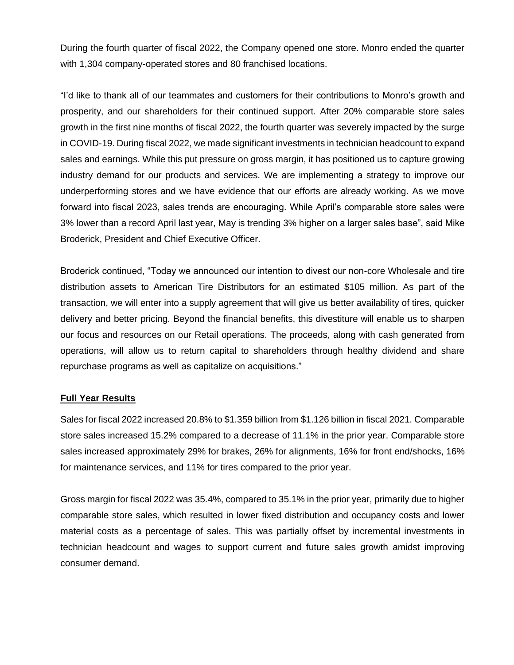During the fourth quarter of fiscal 2022, the Company opened one store. Monro ended the quarter with 1,304 company-operated stores and 80 franchised locations.

"I'd like to thank all of our teammates and customers for their contributions to Monro's growth and prosperity, and our shareholders for their continued support. After 20% comparable store sales growth in the first nine months of fiscal 2022, the fourth quarter was severely impacted by the surge in COVID-19. During fiscal 2022, we made significant investments in technician headcount to expand sales and earnings. While this put pressure on gross margin, it has positioned us to capture growing industry demand for our products and services. We are implementing a strategy to improve our underperforming stores and we have evidence that our efforts are already working. As we move forward into fiscal 2023, sales trends are encouraging. While April's comparable store sales were 3% lower than a record April last year, May is trending 3% higher on a larger sales base", said Mike Broderick, President and Chief Executive Officer.

Broderick continued, "Today we announced our intention to divest our non-core Wholesale and tire distribution assets to American Tire Distributors for an estimated \$105 million. As part of the transaction, we will enter into a supply agreement that will give us better availability of tires, quicker delivery and better pricing. Beyond the financial benefits, this divestiture will enable us to sharpen our focus and resources on our Retail operations. The proceeds, along with cash generated from operations, will allow us to return capital to shareholders through healthy dividend and share repurchase programs as well as capitalize on acquisitions."

## **Full Year Results**

Sales for fiscal 2022 increased 20.8% to \$1.359 billion from \$1.126 billion in fiscal 2021. Comparable store sales increased 15.2% compared to a decrease of 11.1% in the prior year. Comparable store sales increased approximately 29% for brakes, 26% for alignments, 16% for front end/shocks, 16% for maintenance services, and 11% for tires compared to the prior year.

Gross margin for fiscal 2022 was 35.4%, compared to 35.1% in the prior year, primarily due to higher comparable store sales, which resulted in lower fixed distribution and occupancy costs and lower material costs as a percentage of sales. This was partially offset by incremental investments in technician headcount and wages to support current and future sales growth amidst improving consumer demand.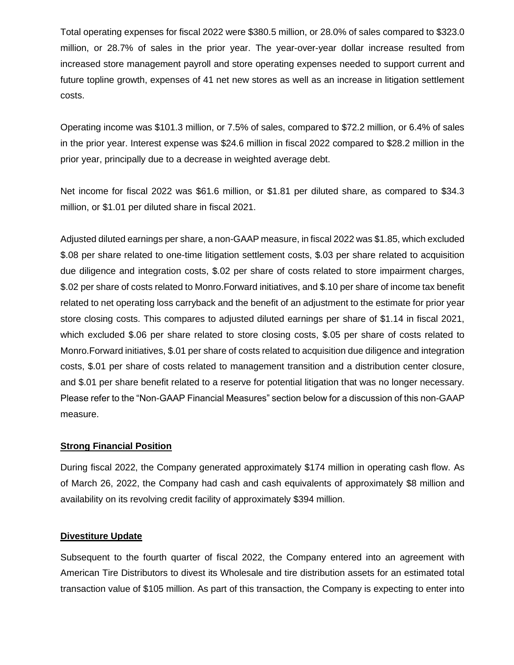Total operating expenses for fiscal 2022 were \$380.5 million, or 28.0% of sales compared to \$323.0 million, or 28.7% of sales in the prior year. The year-over-year dollar increase resulted from increased store management payroll and store operating expenses needed to support current and future topline growth, expenses of 41 net new stores as well as an increase in litigation settlement costs.

Operating income was \$101.3 million, or 7.5% of sales, compared to \$72.2 million, or 6.4% of sales in the prior year. Interest expense was \$24.6 million in fiscal 2022 compared to \$28.2 million in the prior year, principally due to a decrease in weighted average debt.

Net income for fiscal 2022 was \$61.6 million, or \$1.81 per diluted share, as compared to \$34.3 million, or \$1.01 per diluted share in fiscal 2021.

Adjusted diluted earnings per share, a non-GAAP measure, in fiscal 2022 was \$1.85, which excluded \$.08 per share related to one-time litigation settlement costs, \$.03 per share related to acquisition due diligence and integration costs, \$.02 per share of costs related to store impairment charges, \$.02 per share of costs related to Monro.Forward initiatives, and \$.10 per share of income tax benefit related to net operating loss carryback and the benefit of an adjustment to the estimate for prior year store closing costs. This compares to adjusted diluted earnings per share of \$1.14 in fiscal 2021, which excluded \$.06 per share related to store closing costs, \$.05 per share of costs related to Monro.Forward initiatives, \$.01 per share of costs related to acquisition due diligence and integration costs, \$.01 per share of costs related to management transition and a distribution center closure, and \$.01 per share benefit related to a reserve for potential litigation that was no longer necessary. Please refer to the "Non-GAAP Financial Measures" section below for a discussion of this non-GAAP measure.

## **Strong Financial Position**

During fiscal 2022, the Company generated approximately \$174 million in operating cash flow. As of March 26, 2022, the Company had cash and cash equivalents of approximately \$8 million and availability on its revolving credit facility of approximately \$394 million.

#### **Divestiture Update**

Subsequent to the fourth quarter of fiscal 2022, the Company entered into an agreement with American Tire Distributors to divest its Wholesale and tire distribution assets for an estimated total transaction value of \$105 million. As part of this transaction, the Company is expecting to enter into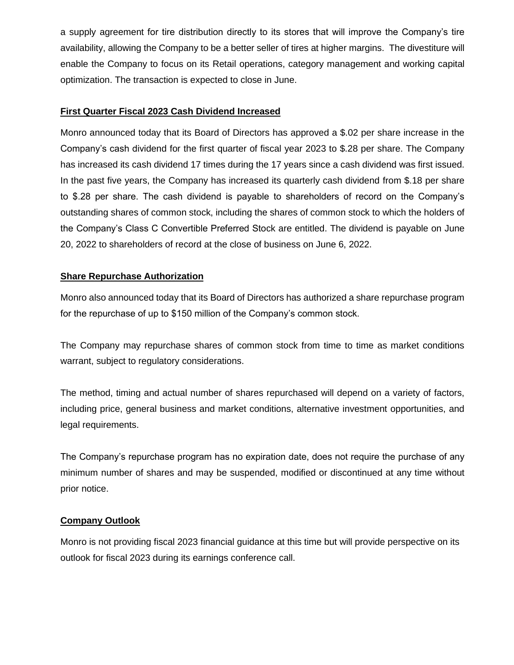a supply agreement for tire distribution directly to its stores that will improve the Company's tire availability, allowing the Company to be a better seller of tires at higher margins. The divestiture will enable the Company to focus on its Retail operations, category management and working capital optimization. The transaction is expected to close in June.

## **First Quarter Fiscal 2023 Cash Dividend Increased**

Monro announced today that its Board of Directors has approved a \$.02 per share increase in the Company's cash dividend for the first quarter of fiscal year 2023 to \$.28 per share. The Company has increased its cash dividend 17 times during the 17 years since a cash dividend was first issued. In the past five years, the Company has increased its quarterly cash dividend from \$.18 per share to \$.28 per share. The cash dividend is payable to shareholders of record on the Company's outstanding shares of common stock, including the shares of common stock to which the holders of the Company's Class C Convertible Preferred Stock are entitled. The dividend is payable on June 20, 2022 to shareholders of record at the close of business on June 6, 2022.

## **Share Repurchase Authorization**

Monro also announced today that its Board of Directors has authorized a share repurchase program for the repurchase of up to \$150 million of the Company's common stock.

The Company may repurchase shares of common stock from time to time as market conditions warrant, subject to regulatory considerations.

The method, timing and actual number of shares repurchased will depend on a variety of factors, including price, general business and market conditions, alternative investment opportunities, and legal requirements.

The Company's repurchase program has no expiration date, does not require the purchase of any minimum number of shares and may be suspended, modified or discontinued at any time without prior notice.

## **Company Outlook**

Monro is not providing fiscal 2023 financial guidance at this time but will provide perspective on its outlook for fiscal 2023 during its earnings conference call.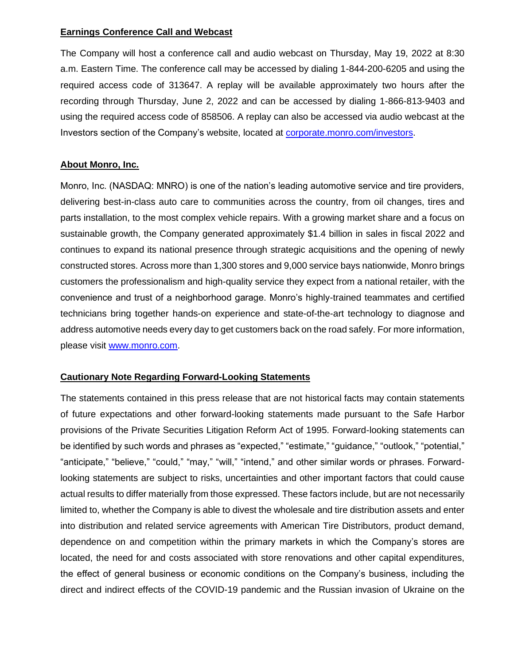#### **Earnings Conference Call and Webcast**

The Company will host a conference call and audio webcast on Thursday, May 19, 2022 at 8:30 a.m. Eastern Time. The conference call may be accessed by dialing 1-844-200-6205 and using the required access code of 313647. A replay will be available approximately two hours after the recording through Thursday, June 2, 2022 and can be accessed by dialing 1-866-813-9403 and using the required access code of 858506. A replay can also be accessed via audio webcast at the Investors section of the Company's website, located at [corporate.monro.com/investors.](https://corporate.monro.com/investors/events-and-presentations/)

#### **About Monro, Inc.**

Monro, Inc. (NASDAQ: MNRO) is one of the nation's leading automotive service and tire providers, delivering best-in-class auto care to communities across the country, from oil changes, tires and parts installation, to the most complex vehicle repairs. With a growing market share and a focus on sustainable growth, the Company generated approximately \$1.4 billion in sales in fiscal 2022 and continues to expand its national presence through strategic acquisitions and the opening of newly constructed stores. Across more than 1,300 stores and 9,000 service bays nationwide, Monro brings customers the professionalism and high-quality service they expect from a national retailer, with the convenience and trust of a neighborhood garage. Monro's highly-trained teammates and certified technicians bring together hands-on experience and state-of-the-art technology to diagnose and address automotive needs every day to get customers back on the road safely. For more information, please visit [www.monro.com.](http://www.monro.com/)

## **Cautionary Note Regarding Forward-Looking Statements**

The statements contained in this press release that are not historical facts may contain statements of future expectations and other forward-looking statements made pursuant to the Safe Harbor provisions of the Private Securities Litigation Reform Act of 1995. Forward-looking statements can be identified by such words and phrases as "expected," "estimate," "guidance," "outlook," "potential," "anticipate," "believe," "could," "may," "will," "intend," and other similar words or phrases. Forwardlooking statements are subject to risks, uncertainties and other important factors that could cause actual results to differ materially from those expressed. These factors include, but are not necessarily limited to, whether the Company is able to divest the wholesale and tire distribution assets and enter into distribution and related service agreements with American Tire Distributors, product demand, dependence on and competition within the primary markets in which the Company's stores are located, the need for and costs associated with store renovations and other capital expenditures, the effect of general business or economic conditions on the Company's business, including the direct and indirect effects of the COVID-19 pandemic and the Russian invasion of Ukraine on the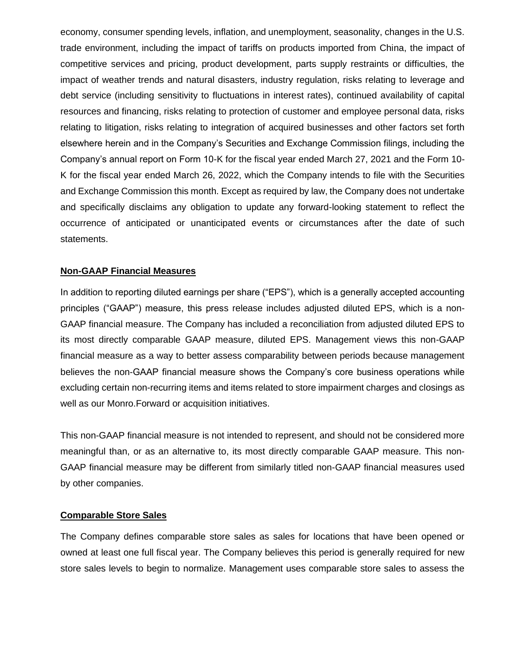economy, consumer spending levels, inflation, and unemployment, seasonality, changes in the U.S. trade environment, including the impact of tariffs on products imported from China, the impact of competitive services and pricing, product development, parts supply restraints or difficulties, the impact of weather trends and natural disasters, industry regulation, risks relating to leverage and debt service (including sensitivity to fluctuations in interest rates), continued availability of capital resources and financing, risks relating to protection of customer and employee personal data, risks relating to litigation, risks relating to integration of acquired businesses and other factors set forth elsewhere herein and in the Company's Securities and Exchange Commission filings, including the Company's annual report on Form 10-K for the fiscal year ended March 27, 2021 and the Form 10- K for the fiscal year ended March 26, 2022, which the Company intends to file with the Securities and Exchange Commission this month. Except as required by law, the Company does not undertake and specifically disclaims any obligation to update any forward-looking statement to reflect the occurrence of anticipated or unanticipated events or circumstances after the date of such statements.

#### **Non-GAAP Financial Measures**

In addition to reporting diluted earnings per share ("EPS"), which is a generally accepted accounting principles ("GAAP") measure, this press release includes adjusted diluted EPS, which is a non-GAAP financial measure. The Company has included a reconciliation from adjusted diluted EPS to its most directly comparable GAAP measure, diluted EPS. Management views this non-GAAP financial measure as a way to better assess comparability between periods because management believes the non-GAAP financial measure shows the Company's core business operations while excluding certain non-recurring items and items related to store impairment charges and closings as well as our Monro.Forward or acquisition initiatives.

This non-GAAP financial measure is not intended to represent, and should not be considered more meaningful than, or as an alternative to, its most directly comparable GAAP measure. This non-GAAP financial measure may be different from similarly titled non-GAAP financial measures used by other companies.

#### **Comparable Store Sales**

The Company defines comparable store sales as sales for locations that have been opened or owned at least one full fiscal year. The Company believes this period is generally required for new store sales levels to begin to normalize. Management uses comparable store sales to assess the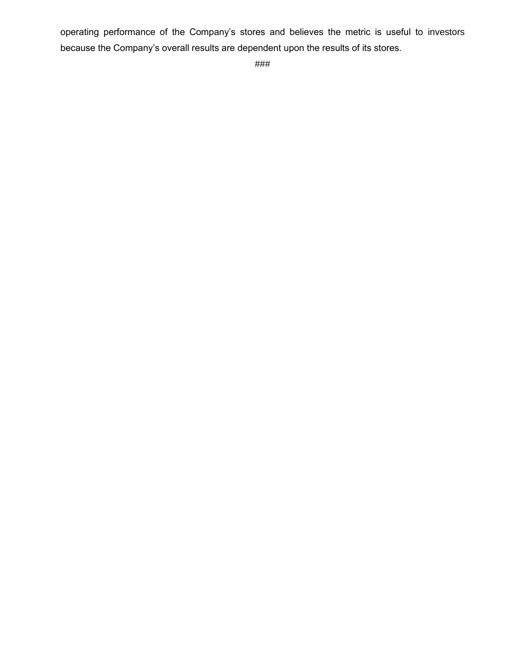operating performance of the Company's stores and believes the metric is useful to investors because the Company's overall results are dependent upon the results of its stores.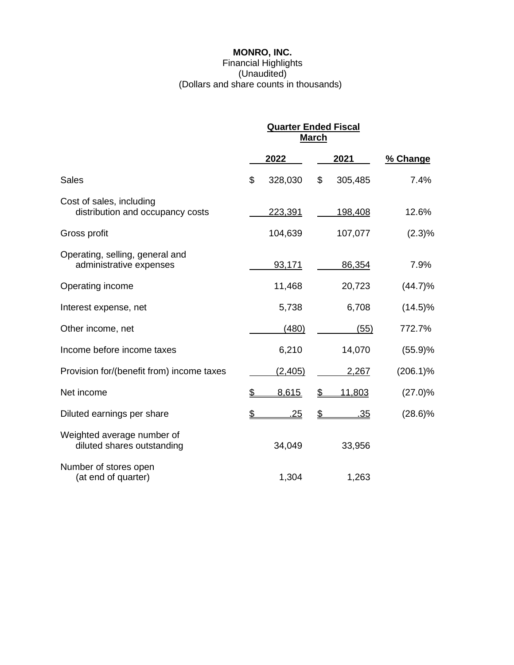# **MONRO, INC.**

#### Financial Highlights (Unaudited) (Dollars and share counts in thousands)

|                                                              | <b>Quarter Ended Fiscal</b><br><b>March</b> |            |                        |            |             |
|--------------------------------------------------------------|---------------------------------------------|------------|------------------------|------------|-------------|
|                                                              |                                             | 2022       |                        | 2021       | % Change    |
| <b>Sales</b>                                                 | \$                                          | 328,030    | \$                     | 305,485    | 7.4%        |
| Cost of sales, including<br>distribution and occupancy costs |                                             | 223,391    |                        | 198,408    | 12.6%       |
| Gross profit                                                 |                                             | 104,639    |                        | 107,077    | $(2.3)\%$   |
| Operating, selling, general and<br>administrative expenses   |                                             | 93,171     |                        | 86,354     | 7.9%        |
| Operating income                                             |                                             | 11,468     |                        | 20,723     | (44.7)%     |
| Interest expense, net                                        |                                             | 5,738      |                        | 6,708      | $(14.5)\%$  |
| Other income, net                                            |                                             | (480)      |                        | (55)       | 772.7%      |
| Income before income taxes                                   |                                             | 6,210      |                        | 14,070     | (55.9)%     |
| Provision for/(benefit from) income taxes                    |                                             | (2, 405)   |                        | 2,267      | $(206.1)\%$ |
| Net income                                                   | \$                                          | 8,615      | \$                     | 11,803     | (27.0)%     |
| Diluted earnings per share                                   | $\overline{P}$                              | <u>.25</u> | $\mathbf{\mathcal{L}}$ | <u>.35</u> | $(28.6)\%$  |
| Weighted average number of<br>diluted shares outstanding     |                                             | 34,049     |                        | 33,956     |             |
| Number of stores open<br>(at end of quarter)                 |                                             | 1,304      |                        | 1,263      |             |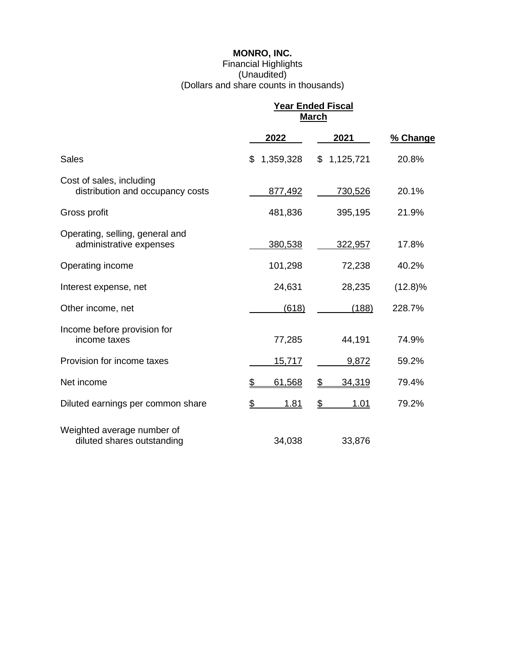# **MONRO, INC.**

# Financial Highlights (Unaudited) (Dollars and share counts in thousands)

|                                                              | <u> Year Ended Fiscal</u><br><b>March</b> |                                       |            |
|--------------------------------------------------------------|-------------------------------------------|---------------------------------------|------------|
|                                                              | 2022                                      | 2021                                  | % Change   |
| <b>Sales</b>                                                 | 1,359,328<br>\$                           | 1,125,721<br>\$                       | 20.8%      |
| Cost of sales, including<br>distribution and occupancy costs | 877,492                                   | 730,526                               | 20.1%      |
| Gross profit                                                 | 481,836                                   | 395,195                               | 21.9%      |
| Operating, selling, general and<br>administrative expenses   | 380,538                                   | 322,957                               | 17.8%      |
| Operating income                                             | 101,298                                   | 72,238                                | 40.2%      |
| Interest expense, net                                        | 24,631                                    | 28,235                                | $(12.8)\%$ |
| Other income, net                                            | (618)                                     | (188)                                 | 228.7%     |
| Income before provision for<br>income taxes                  | 77,285                                    | 44,191                                | 74.9%      |
| Provision for income taxes                                   | 15,717                                    | 9,872                                 | 59.2%      |
| Net income                                                   | \$<br>61,568                              | $\mathfrak{L}$<br>34,319              | 79.4%      |
| Diluted earnings per common share                            | \$<br>1.81                                | $\mathbf{\mathcal{L}}$<br><u>1.01</u> | 79.2%      |
| Weighted average number of<br>diluted shares outstanding     | 34,038                                    | 33,876                                |            |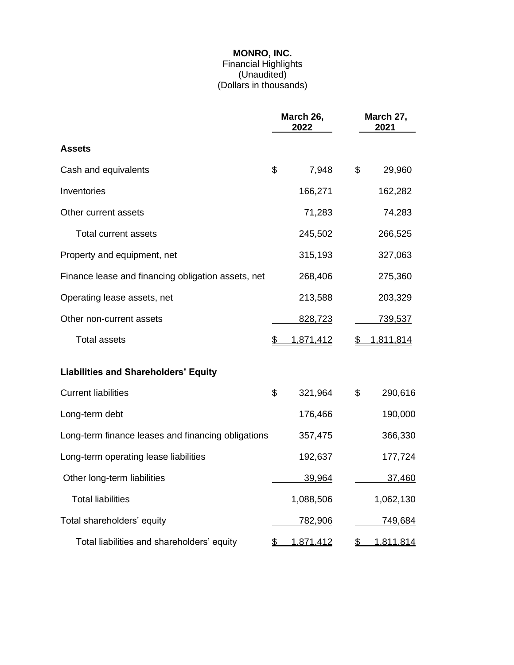#### **MONRO, INC.**

#### Financial Highlights (Unaudited) (Dollars in thousands)

|                                                    | March 26,<br>2022 |               | March 27,<br>2021 |                |  |
|----------------------------------------------------|-------------------|---------------|-------------------|----------------|--|
| <b>Assets</b>                                      |                   |               |                   |                |  |
| Cash and equivalents                               | \$                | 7,948         | \$                | 29,960         |  |
| Inventories                                        |                   | 166,271       |                   | 162,282        |  |
| Other current assets                               |                   | <u>71,283</u> |                   | <u>74,283</u>  |  |
| <b>Total current assets</b>                        |                   | 245,502       |                   | 266,525        |  |
| Property and equipment, net                        |                   | 315,193       |                   | 327,063        |  |
| Finance lease and financing obligation assets, net |                   | 268,406       |                   | 275,360        |  |
| Operating lease assets, net                        |                   | 213,588       |                   | 203,329        |  |
| Other non-current assets                           |                   | 828,723       |                   | <u>739,537</u> |  |
| <b>Total assets</b>                                |                   | 1,871,412     | S                 | 1,811,814      |  |
| <b>Liabilities and Shareholders' Equity</b>        |                   |               |                   |                |  |
| <b>Current liabilities</b>                         | \$                | 321,964       | \$                | 290,616        |  |
| Long-term debt                                     |                   | 176,466       |                   | 190,000        |  |
| Long-term finance leases and financing obligations |                   | 357,475       |                   | 366,330        |  |
| Long-term operating lease liabilities              |                   | 192,637       |                   | 177,724        |  |
| Other long-term liabilities                        |                   | 39,964        |                   | 37,460         |  |
| <b>Total liabilities</b>                           |                   | 1,088,506     |                   | 1,062,130      |  |
| Total shareholders' equity                         |                   | 782,906       |                   | 749,684        |  |
| Total liabilities and shareholders' equity         | \$                | 1,871,412     | \$                | 1,811,814      |  |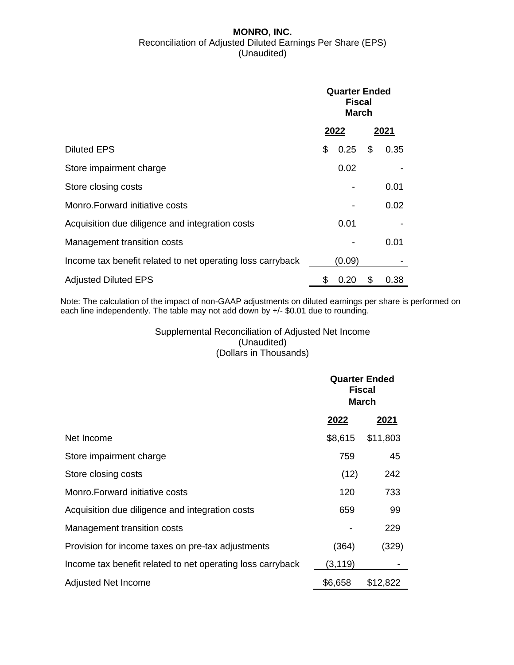#### **MONRO, INC.** Reconciliation of Adjusted Diluted Earnings Per Share (EPS) (Unaudited)

|                                                            | <b>Quarter Ended</b><br><b>Fiscal</b><br><b>March</b> |        |      |      |
|------------------------------------------------------------|-------------------------------------------------------|--------|------|------|
|                                                            | 2022                                                  |        | 2021 |      |
| <b>Diluted EPS</b>                                         | \$                                                    | 0.25   | \$   | 0.35 |
| Store impairment charge                                    |                                                       | 0.02   |      |      |
| Store closing costs                                        |                                                       |        |      | 0.01 |
| Monro. Forward initiative costs                            |                                                       |        |      | 0.02 |
| Acquisition due diligence and integration costs            |                                                       | 0.01   |      |      |
| Management transition costs                                |                                                       |        |      | 0.01 |
| Income tax benefit related to net operating loss carryback |                                                       | (0.09) |      |      |
| <b>Adjusted Diluted EPS</b>                                | \$                                                    | 0.20   | \$   | 0.38 |

Note: The calculation of the impact of non-GAAP adjustments on diluted earnings per share is performed on each line independently. The table may not add down by +/- \$0.01 due to rounding.

# Supplemental Reconciliation of Adjusted Net Income (Unaudited) (Dollars in Thousands)

|                                                            | <b>Quarter Ended</b><br><b>Fiscal</b><br><b>March</b> |          |  |
|------------------------------------------------------------|-------------------------------------------------------|----------|--|
|                                                            | 2022                                                  | 2021     |  |
| Net Income                                                 | \$8,615                                               | \$11,803 |  |
| Store impairment charge                                    | 759                                                   | 45       |  |
| Store closing costs                                        | (12)                                                  | 242      |  |
| Monro. Forward initiative costs                            | 120                                                   | 733      |  |
| Acquisition due diligence and integration costs            | 659                                                   | 99       |  |
| Management transition costs                                |                                                       | 229      |  |
| Provision for income taxes on pre-tax adjustments          | (364)                                                 | (329)    |  |
| Income tax benefit related to net operating loss carryback | (3, 119)                                              |          |  |
| Adjusted Net Income                                        | \$6,658                                               | \$12,822 |  |